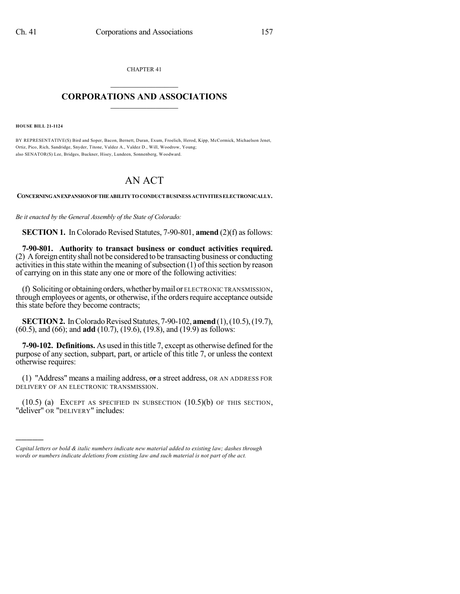CHAPTER 41  $\mathcal{L}_\text{max}$  . The set of the set of the set of the set of the set of the set of the set of the set of the set of the set of the set of the set of the set of the set of the set of the set of the set of the set of the set

## **CORPORATIONS AND ASSOCIATIONS**  $\_$   $\_$   $\_$   $\_$   $\_$   $\_$   $\_$   $\_$   $\_$

**HOUSE BILL 21-1124**

)))))

BY REPRESENTATIVE(S) Bird and Soper, Bacon, Bernett, Duran, Exum, Froelich, Herod, Kipp, McCormick, Michaelson Jenet, Ortiz, Pico, Rich, Sandridge, Snyder, Titone, Valdez A., Valdez D., Will, Woodrow, Young; also SENATOR(S) Lee, Bridges, Buckner, Hisey, Lundeen, Sonnenberg, Woodward.

# AN ACT

**CONCERNINGANEXPANSIONOFTHEABILITYTOCONDUCTBUSINESS ACTIVITIES ELECTRONICALLY.**

*Be it enacted by the General Assembly of the State of Colorado:*

**SECTION 1.** In Colorado Revised Statutes, 7-90-801, **amend** (2)(f) as follows:

**7-90-801. Authority to transact business or conduct activities required.** (2) Aforeign entityshall not be considered to be transacting business or conducting activities in this state within the meaning of subsection  $(1)$  of this section by reason of carrying on in this state any one or more of the following activities:

(f) Soliciting or obtaining orders,whether bymail or ELECTRONIC TRANSMISSION, through employees or agents, or otherwise, if the orders require acceptance outside this state before they become contracts;

**SECTION 2.** In Colorado Revised Statutes, 7-90-102, **amend** (1), (10.5), (19.7), (60.5), and (66); and **add** (10.7), (19.6), (19.8), and (19.9) as follows:

**7-90-102. Definitions.** As used in this title 7, except as otherwise defined for the purpose of any section, subpart, part, or article of this title 7, or unless the context otherwise requires:

(1) "Address" means a mailing address,  $\sigma$  a street address, OR AN ADDRESS FOR DELIVERY OF AN ELECTRONIC TRANSMISSION.

(10.5) (a) EXCEPT AS SPECIFIED IN SUBSECTION (10.5)(b) OF THIS SECTION, "deliver" OR "DELIVERY" includes:

*Capital letters or bold & italic numbers indicate new material added to existing law; dashes through words or numbers indicate deletions from existing law and such material is not part of the act.*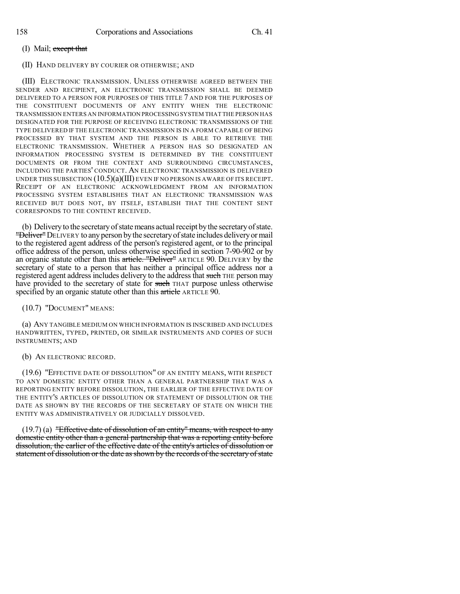## (I) Mail;  $\frac{except}$  that

#### (II) HAND DELIVERY BY COURIER OR OTHERWISE; AND

(III) ELECTRONIC TRANSMISSION. UNLESS OTHERWISE AGREED BETWEEN THE SENDER AND RECIPIENT, AN ELECTRONIC TRANSMISSION SHALL BE DEEMED DELIVERED TO A PERSON FOR PURPOSES OF THIS TITLE 7 AND FOR THE PURPOSES OF THE CONSTITUENT DOCUMENTS OF ANY ENTITY WHEN THE ELECTRONIC TRANSMISSION ENTERS AN INFORMATION PROCESSINGSYSTEM THAT THE PERSON HAS DESIGNATED FOR THE PURPOSE OF RECEIVING ELECTRONIC TRANSMISSIONS OF THE TYPE DELIVERED IF THE ELECTRONIC TRANSMISSION IS IN A FORM CAPABLE OF BEING PROCESSED BY THAT SYSTEM AND THE PERSON IS ABLE TO RETRIEVE THE ELECTRONIC TRANSMISSION. WHETHER A PERSON HAS SO DESIGNATED AN INFORMATION PROCESSING SYSTEM IS DETERMINED BY THE CONSTITUENT DOCUMENTS OR FROM THE CONTEXT AND SURROUNDING CIRCUMSTANCES, INCLUDING THE PARTIES' CONDUCT. AN ELECTRONIC TRANSMISSION IS DELIVERED UNDER THIS SUBSECTION  $(10.5)(a)(III)$  EVEN IF NO PERSON IS AWARE OF ITS RECEIPT. RECEIPT OF AN ELECTRONIC ACKNOWLEDGMENT FROM AN INFORMATION PROCESSING SYSTEM ESTABLISHES THAT AN ELECTRONIC TRANSMISSION WAS RECEIVED BUT DOES NOT, BY ITSELF, ESTABLISH THAT THE CONTENT SENT CORRESPONDS TO THE CONTENT RECEIVED.

(b) Delivery to the secretary of state means actual receipt by the secretary of state. "Deliver" DELIVERY to any person by the secretary of state includes delivery or mail to the registered agent address of the person's registered agent, or to the principal office address of the person, unless otherwise specified in section 7-90-902 or by an organic statute other than this article. "Deliver" ARTICLE 90. DELIVERY by the secretary of state to a person that has neither a principal office address nor a registered agent address includes delivery to the address that such THE person may have provided to the secretary of state for such THAT purpose unless otherwise specified by an organic statute other than this article ARTICLE 90.

(10.7) "DOCUMENT" MEANS:

(a) ANY TANGIBLE MEDIUM ON WHICH INFORMATION IS INSCRIBED AND INCLUDES HANDWRITTEN, TYPED, PRINTED, OR SIMILAR INSTRUMENTS AND COPIES OF SUCH INSTRUMENTS; AND

#### (b) AN ELECTRONIC RECORD.

(19.6) "EFFECTIVE DATE OF DISSOLUTION" OF AN ENTITY MEANS, WITH RESPECT TO ANY DOMESTIC ENTITY OTHER THAN A GENERAL PARTNERSHIP THAT WAS A REPORTING ENTITY BEFORE DISSOLUTION, THE EARLIER OF THE EFFECTIVE DATE OF THE ENTITY'S ARTICLES OF DISSOLUTION OR STATEMENT OF DISSOLUTION OR THE DATE AS SHOWN BY THE RECORDS OF THE SECRETARY OF STATE ON WHICH THE ENTITY WAS ADMINISTRATIVELY OR JUDICIALLY DISSOLVED.

 $(19.7)$  (a) "Effective date of dissolution of an entity" means, with respect to any domestic entity other than a general partnership that was a reporting entity before dissolution, the earlier of the effective date of the entity's articles of dissolution or statement of dissolution or the date as shown by the records of the secretary of state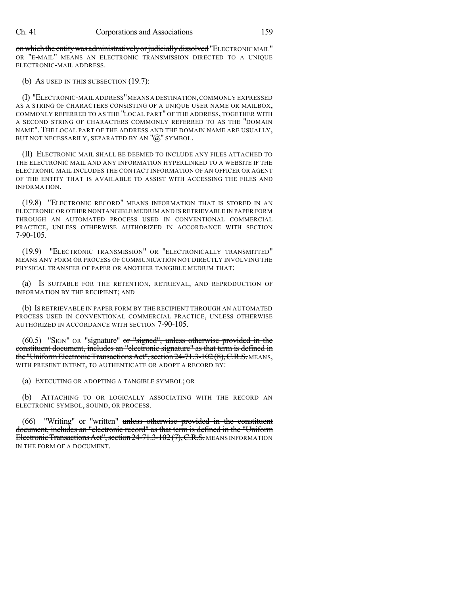on which the entity was administratively or judicially dissolved "ELECTRONIC MAIL" OR "E-MAIL" MEANS AN ELECTRONIC TRANSMISSION DIRECTED TO A UNIQUE ELECTRONIC-MAIL ADDRESS.

(b) AS USED IN THIS SUBSECTION (19.7):

(I) "ELECTRONIC-MAIL ADDRESS"MEANS A DESTINATION,COMMONLY EXPRESSED AS A STRING OF CHARACTERS CONSISTING OF A UNIQUE USER NAME OR MAILBOX, COMMONLY REFERRED TO AS THE "LOCAL PART" OF THE ADDRESS, TOGETHER WITH A SECOND STRING OF CHARACTERS COMMONLY REFERRED TO AS THE "DOMAIN NAME". THE LOCAL PART OF THE ADDRESS AND THE DOMAIN NAME ARE USUALLY, BUT NOT NECESSARILY, SEPARATED BY AN "@" SYMBOL.

(II) ELECTRONIC MAIL SHALL BE DEEMED TO INCLUDE ANY FILES ATTACHED TO THE ELECTRONIC MAIL AND ANY INFORMATION HYPERLINKED TO A WEBSITE IF THE ELECTRONIC MAIL INCLUDES THE CONTACT INFORMATION OF AN OFFICER OR AGENT OF THE ENTITY THAT IS AVAILABLE TO ASSIST WITH ACCESSING THE FILES AND INFORMATION.

(19.8) "ELECTRONIC RECORD" MEANS INFORMATION THAT IS STORED IN AN ELECTRONIC OR OTHER NONTANGIBLE MEDIUM AND IS RETRIEVABLE IN PAPER FORM THROUGH AN AUTOMATED PROCESS USED IN CONVENTIONAL COMMERCIAL PRACTICE, UNLESS OTHERWISE AUTHORIZED IN ACCORDANCE WITH SECTION 7-90-105.

(19.9) "ELECTRONIC TRANSMISSION" OR "ELECTRONICALLY TRANSMITTED" MEANS ANY FORM OR PROCESS OF COMMUNICATION NOT DIRECTLY INVOLVING THE PHYSICAL TRANSFER OF PAPER OR ANOTHER TANGIBLE MEDIUM THAT:

(a) IS SUITABLE FOR THE RETENTION, RETRIEVAL, AND REPRODUCTION OF INFORMATION BY THE RECIPIENT; AND

(b) IS RETRIEVABLE IN PAPER FORM BY THE RECIPIENT THROUGH AN AUTOMATED PROCESS USED IN CONVENTIONAL COMMERCIAL PRACTICE, UNLESS OTHERWISE AUTHORIZED IN ACCORDANCE WITH SECTION 7-90-105.

(60.5) "SIGN" OR "signature" or "signed", unless otherwise provided in the constituent document, includes an "electronic signature" as that term is defined in the "Uniform Electronic Transactions Act", section 24-71.3-102 (8), C.R.S. MEANS, WITH PRESENT INTENT, TO AUTHENTICATE OR ADOPT A RECORD BY:

(a) EXECUTING OR ADOPTING A TANGIBLE SYMBOL; OR

(b) ATTACHING TO OR LOGICALLY ASSOCIATING WITH THE RECORD AN ELECTRONIC SYMBOL, SOUND, OR PROCESS.

"Writing" or "written" unless otherwise provided in the constituent document, includes an "electronic record" as that term is defined in the "Uniform Electronic Transactions Act", section 24-71.3-102 (7), C.R.S. MEANS INFORMATION IN THE FORM OF A DOCUMENT.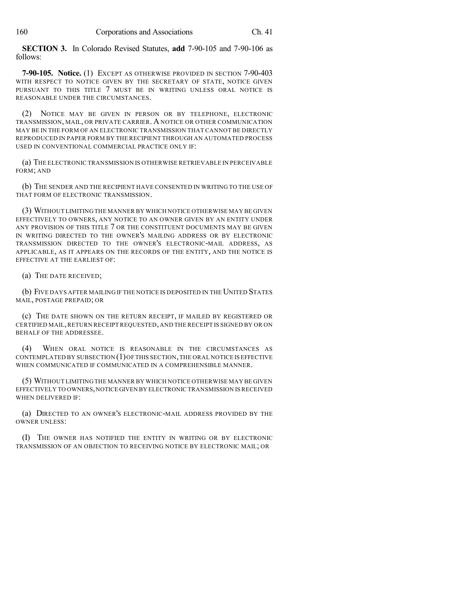**SECTION 3.** In Colorado Revised Statutes, **add** 7-90-105 and 7-90-106 as follows:

**7-90-105. Notice.** (1) EXCEPT AS OTHERWISE PROVIDED IN SECTION 7-90-403 WITH RESPECT TO NOTICE GIVEN BY THE SECRETARY OF STATE, NOTICE GIVEN PURSUANT TO THIS TITLE 7 MUST BE IN WRITING UNLESS ORAL NOTICE IS REASONABLE UNDER THE CIRCUMSTANCES.

(2) NOTICE MAY BE GIVEN IN PERSON OR BY TELEPHONE, ELECTRONIC TRANSMISSION, MAIL, OR PRIVATE CARRIER. A NOTICE OR OTHER COMMUNICATION MAY BE IN THE FORM OF AN ELECTRONIC TRANSMISSION THAT CANNOT BE DIRECTLY REPRODUCED IN PAPER FORM BY THE RECIPIENT THROUGH AN AUTOMATED PROCESS USED IN CONVENTIONAL COMMERCIAL PRACTICE ONLY IF:

(a) THE ELECTRONIC TRANSMISSION IS OTHERWISE RETRIEVABLE IN PERCEIVABLE FORM; AND

(b) THE SENDER AND THE RECIPIENT HAVE CONSENTED IN WRITING TO THE USE OF THAT FORM OF ELECTRONIC TRANSMISSION.

(3) WITHOUT LIMITING THE MANNER BY WHICH NOTICE OTHERWISE MAY BE GIVEN EFFECTIVELY TO OWNERS, ANY NOTICE TO AN OWNER GIVEN BY AN ENTITY UNDER ANY PROVISION OF THIS TITLE 7 OR THE CONSTITUENT DOCUMENTS MAY BE GIVEN IN WRITING DIRECTED TO THE OWNER'S MAILING ADDRESS OR BY ELECTRONIC TRANSMISSION DIRECTED TO THE OWNER'S ELECTRONIC-MAIL ADDRESS, AS APPLICABLE, AS IT APPEARS ON THE RECORDS OF THE ENTITY, AND THE NOTICE IS EFFECTIVE AT THE EARLIEST OF:

(a) THE DATE RECEIVED;

(b) FIVE DAYS AFTER MAILING IF THE NOTICE IS DEPOSITED IN THE UNITED STATES MAIL, POSTAGE PREPAID; OR

(c) THE DATE SHOWN ON THE RETURN RECEIPT, IF MAILED BY REGISTERED OR CERTIFIED MAIL,RETURN RECEIPT REQUESTED,AND THE RECEIPT IS SIGNED BY OR ON BEHALF OF THE ADDRESSEE.

(4) WHEN ORAL NOTICE IS REASONABLE IN THE CIRCUMSTANCES AS CONTEMPLATED BY SUBSECTION (1)OF THIS SECTION,THE ORAL NOTICE IS EFFECTIVE WHEN COMMUNICATED IF COMMUNICATED IN A COMPREHENSIBLE MANNER.

(5) WITHOUT LIMITING THE MANNER BY WHICH NOTICE OTHERWISE MAY BE GIVEN EFFECTIVELY TO OWNERS,NOTICE GIVEN BY ELECTRONIC TRANSMISSION IS RECEIVED WHEN DELIVERED IF:

(a) DIRECTED TO AN OWNER'S ELECTRONIC-MAIL ADDRESS PROVIDED BY THE OWNER UNLESS:

(I) THE OWNER HAS NOTIFIED THE ENTITY IN WRITING OR BY ELECTRONIC TRANSMISSION OF AN OBJECTION TO RECEIVING NOTICE BY ELECTRONIC MAIL; OR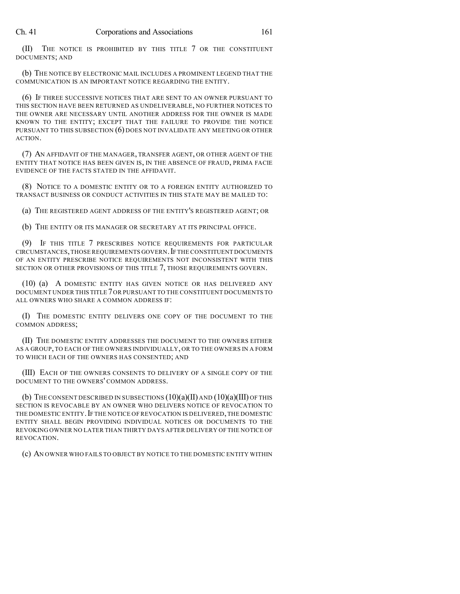(II) THE NOTICE IS PROHIBITED BY THIS TITLE 7 OR THE CONSTITUENT DOCUMENTS; AND

(b) THE NOTICE BY ELECTRONIC MAIL INCLUDES A PROMINENT LEGEND THAT THE COMMUNICATION IS AN IMPORTANT NOTICE REGARDING THE ENTITY.

(6) IF THREE SUCCESSIVE NOTICES THAT ARE SENT TO AN OWNER PURSUANT TO THIS SECTION HAVE BEEN RETURNED AS UNDELIVERABLE, NO FURTHER NOTICES TO THE OWNER ARE NECESSARY UNTIL ANOTHER ADDRESS FOR THE OWNER IS MADE KNOWN TO THE ENTITY; EXCEPT THAT THE FAILURE TO PROVIDE THE NOTICE PURSUANT TO THIS SUBSECTION (6) DOES NOT INVALIDATE ANY MEETING OR OTHER ACTION.

(7) AN AFFIDAVIT OF THE MANAGER, TRANSFER AGENT, OR OTHER AGENT OF THE ENTITY THAT NOTICE HAS BEEN GIVEN IS, IN THE ABSENCE OF FRAUD, PRIMA FACIE EVIDENCE OF THE FACTS STATED IN THE AFFIDAVIT.

(8) NOTICE TO A DOMESTIC ENTITY OR TO A FOREIGN ENTITY AUTHORIZED TO TRANSACT BUSINESS OR CONDUCT ACTIVITIES IN THIS STATE MAY BE MAILED TO:

(a) THE REGISTERED AGENT ADDRESS OF THE ENTITY'S REGISTERED AGENT; OR

(b) THE ENTITY OR ITS MANAGER OR SECRETARY AT ITS PRINCIPAL OFFICE.

(9) IF THIS TITLE 7 PRESCRIBES NOTICE REQUIREMENTS FOR PARTICULAR CIRCUMSTANCES,THOSE REQUIREMENTS GOVERN.IF THE CONSTITUENT DOCUMENTS OF AN ENTITY PRESCRIBE NOTICE REQUIREMENTS NOT INCONSISTENT WITH THIS SECTION OR OTHER PROVISIONS OF THIS TITLE 7, THOSE REQUIREMENTS GOVERN.

(10) (a) A DOMESTIC ENTITY HAS GIVEN NOTICE OR HAS DELIVERED ANY DOCUMENT UNDER THIS TITLE 7OR PURSUANT TO THE CONSTITUENT DOCUMENTS TO ALL OWNERS WHO SHARE A COMMON ADDRESS IF:

(I) THE DOMESTIC ENTITY DELIVERS ONE COPY OF THE DOCUMENT TO THE COMMON ADDRESS;

(II) THE DOMESTIC ENTITY ADDRESSES THE DOCUMENT TO THE OWNERS EITHER AS A GROUP, TO EACH OF THE OWNERS INDIVIDUALLY, OR TO THE OWNERS IN A FORM TO WHICH EACH OF THE OWNERS HAS CONSENTED; AND

(III) EACH OF THE OWNERS CONSENTS TO DELIVERY OF A SINGLE COPY OF THE DOCUMENT TO THE OWNERS' COMMON ADDRESS.

(b) THE CONSENT DESCRIBED IN SUBSECTIONS  $(10)(a)(II)$  and  $(10)(a)(III)$  of this SECTION IS REVOCABLE BY AN OWNER WHO DELIVERS NOTICE OF REVOCATION TO THE DOMESTIC ENTITY. IF THE NOTICE OF REVOCATION IS DELIVERED, THE DOMESTIC ENTITY SHALL BEGIN PROVIDING INDIVIDUAL NOTICES OR DOCUMENTS TO THE REVOKING OWNER NO LATER THAN THIRTY DAYS AFTER DELIVERY OF THE NOTICE OF REVOCATION.

(c) AN OWNER WHO FAILS TO OBJECT BY NOTICE TO THE DOMESTIC ENTITY WITHIN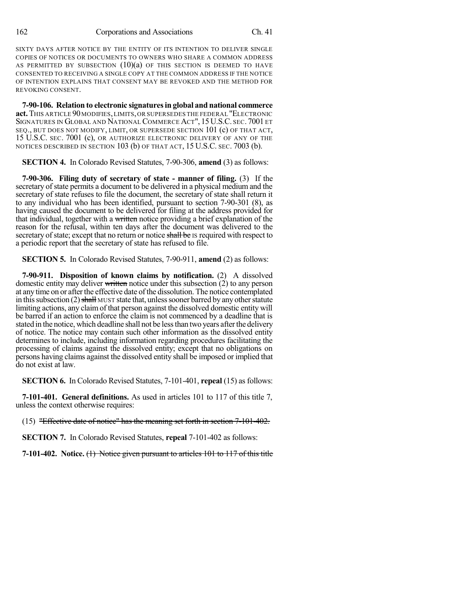SIXTY DAYS AFTER NOTICE BY THE ENTITY OF ITS INTENTION TO DELIVER SINGLE COPIES OF NOTICES OR DOCUMENTS TO OWNERS WHO SHARE A COMMON ADDRESS AS PERMITTED BY SUBSECTION  $(10)(a)$  of this section is deemed to have CONSENTED TO RECEIVING A SINGLE COPY AT THE COMMON ADDRESS IF THE NOTICE OF INTENTION EXPLAINS THAT CONSENT MAY BE REVOKED AND THE METHOD FOR REVOKING CONSENT.

**7-90-106. Relation to electronic signaturesin global and national commerce act.** THIS ARTICLE 90MODIFIES,LIMITS,OR SUPERSEDES THE FEDERAL "ELECTRONIC SIGNATURES IN GLOBAL AND NATIONAL COMMERCE ACT", 15U.S.C. SEC. 7001 ET SEQ., BUT DOES NOT MODIFY, LIMIT, OR SUPERSEDE SECTION 101 (c) OF THAT ACT, 15 U.S.C. SEC. 7001 (c), OR AUTHORIZE ELECTRONIC DELIVERY OF ANY OF THE NOTICES DESCRIBED IN SECTION 103 (b) OF THAT ACT, 15 U.S.C. SEC. 7003 (b).

**SECTION 4.** In Colorado Revised Statutes, 7-90-306, **amend** (3) as follows:

**7-90-306. Filing duty of secretary of state - manner of filing.** (3) If the secretary of state permits a document to be delivered in a physical medium and the secretary of state refuses to file the document, the secretary of state shall return it to any individual who has been identified, pursuant to section 7-90-301 (8), as having caused the document to be delivered for filing at the address provided for that individual, together with a written notice providing a brief explanation of the reason for the refusal, within ten days after the document was delivered to the secretary of state; except that no return or notice shall be IS required with respect to a periodic report that the secretary of state has refused to file.

**SECTION 5.** In Colorado Revised Statutes, 7-90-911, **amend** (2) as follows:

**7-90-911. Disposition of known claims by notification.** (2) A dissolved domestic entity may deliver written notice under this subsection  $(2)$  to any person at any time on or after the effective date of the dissolution. The notice contemplated in this subsection  $(2)$  shall MUST state that, unless sooner barred by any other statute limiting actions, any claimof that person against the dissolved domestic entity will be barred if an action to enforce the claim is not commenced by a deadline that is stated in the notice, which deadline shall not be lessthan two years afterthe delivery of notice. The notice may contain such other information as the dissolved entity determines to include, including information regarding procedures facilitating the processing of claims against the dissolved entity; except that no obligations on persons having claims against the dissolved entity shall be imposed or implied that do not exist at law.

**SECTION 6.** In Colorado Revised Statutes, 7-101-401, **repeal** (15) as follows:

**7-101-401. General definitions.** As used in articles 101 to 117 of this title 7, unless the context otherwise requires:

(15) "Effective date of notice" has the meaning set forth in section 7-101-402.

**SECTION 7.** In Colorado Revised Statutes, **repeal** 7-101-402 as follows:

**7-101-402. Notice.** (1) Notice given pursuant to articles 101 to 117 of this title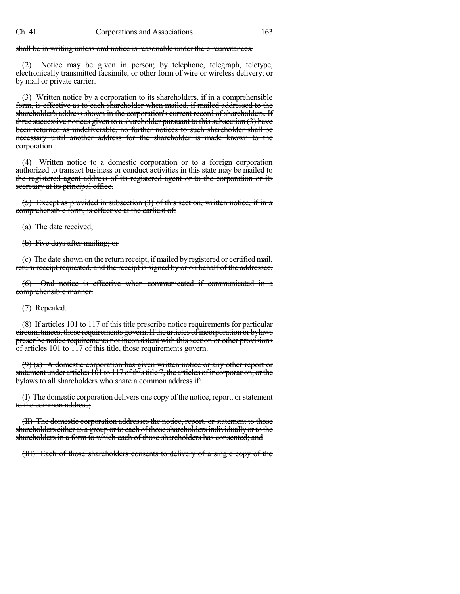shall be in writing unless oral notice is reasonable under the circumstances.

(2) Notice may be given in person; by telephone, telegraph, teletype, electronically transmitted facsimile, or other form of wire or wireless delivery; or by mail or private carrier.

(3) Written notice by a corporation to its shareholders, if in a comprehensible form, is effective as to each shareholder when mailed, if mailed addressed to the shareholder's address shown in the corporation's current record of shareholders. If three successive notices given to a shareholder pursuant to this subsection  $(3)$  have been returned as undeliverable, no further notices to such shareholder shall be necessary until another address for the shareholder is made known to the corporation.

(4) Written notice to a domestic corporation or to a foreign corporation authorized to transact business or conduct activities in this state may be mailed to the registered agent address of its registered agent or to the corporation or its secretary at its principal office.

(5) Except as provided in subsection (3) of this section, written notice, if in a comprehensible form, is effective at the earliest of:

(a) The date received;

(b) Five days after mailing; or

(c) The date shown on the return receipt, if mailed by registered or certifiedmail, return receipt requested, and the receipt is signed by or on behalf of the addressee.

(6) Oral notice is effective when communicated if communicated in a comprehensible manner.

(7) Repealed.

(8) If articles 101 to 117 of this title prescribe notice requirements for particular circumstances, those requirements govern. If the articles of incorporation or bylaws prescribe notice requirements not inconsistent with this section or other provisions of articles 101 to 117 of this title, those requirements govern.

(9) (a) A domestic corporation has given written notice or any other report or statement under articles  $101$  to  $117$  of this title 7, the articles of incorporation, or the bylaws to all shareholders who share a common address if:

(I) The domestic corporation delivers one copy of the notice, report, orstatement to the common address;

(II) The domestic corporation addresses the notice, report, or statement to those shareholders either as a group or to each of those shareholders individually or to the shareholders in a form to which each of those shareholders has consented; and

(III) Each of those shareholders consents to delivery of a single copy of the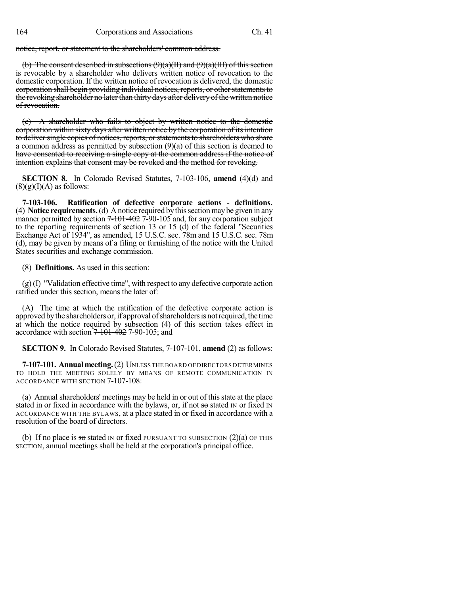notice, report, or statement to the shareholders' common address.

(b) The consent described in subsections  $(9)(a)(H)$  and  $(9)(a)(III)$  of this section is revocable by a shareholder who delivers written notice of revocation to the domestic corporation. If the written notice of revocation is delivered, the domestic corporation shall begin providing individual notices, reports, or other statements to the revoking shareholder no later than thirty days after delivery of the written notice of revocation.

(c) A shareholder who fails to object by written notice to the domestic corporation within sixty days after written notice by the corporation of its intention to deliver single copies of notices, reports, or statements to shareholders who share a common address as permitted by subsection  $(9)(a)$  of this section is deemed to have consented to receiving a single copy at the common address if the notice of intention explains that consent may be revoked and the method for revoking.

**SECTION 8.** In Colorado Revised Statutes, 7-103-106, **amend** (4)(d) and  $(8)(g)(I)(A)$  as follows:

**7-103-106. Ratification of defective corporate actions - definitions.** (4) **Notice requirements.**(d) Anotice required bythissectionmaybe given in any manner permitted by section  $7-101-402$  7-90-105 and, for any corporation subject to the reporting requirements of section 13 or 15 (d) of the federal "Securities Exchange Act of 1934", as amended, 15 U.S.C. sec. 78m and 15 U.S.C. sec. 78m (d), may be given by means of a filing or furnishing of the notice with the United States securities and exchange commission.

(8) **Definitions.** As used in this section:

(g) (I) "Validation effective time", with respect to any defective corporate action ratified under this section, means the later of:

(A) The time at which the ratification of the defective corporate action is approved by the shareholders or, if approval of shareholders is not required, the time at which the notice required by subsection (4) of this section takes effect in accordance with section  $7-101-402$  7-90-105; and

**SECTION 9.** In Colorado Revised Statutes, 7-107-101, **amend** (2) as follows:

**7-107-101. Annualmeeting.**(2) UNLESS THE BOARD OF DIRECTORS DETERMINES TO HOLD THE MEETING SOLELY BY MEANS OF REMOTE COMMUNICATION IN ACCORDANCE WITH SECTION 7-107-108:

(a) Annual shareholders' meetings may be held in or out of this state at the place stated in or fixed in accordance with the bylaws, or, if not so stated  $\text{IN}$  or fixed  $\text{IN}$ ACCORDANCE WITH THE BYLAWS, at a place stated in or fixed in accordance with a resolution of the board of directors.

(b) If no place is so stated IN or fixed PURSUANT TO SUBSECTION  $(2)(a)$  OF THIS SECTION, annual meetings shall be held at the corporation's principal office.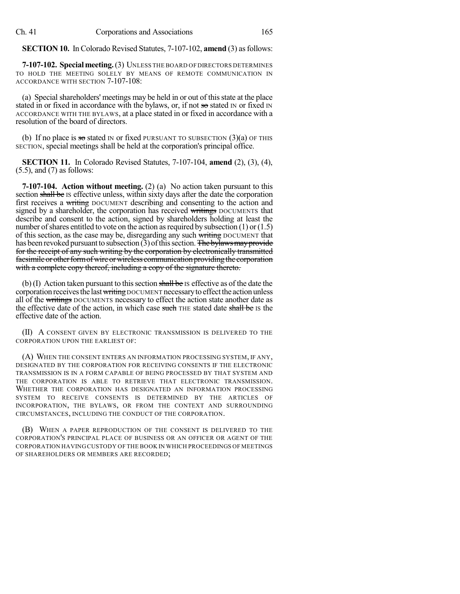**SECTION 10.** In Colorado Revised Statutes, 7-107-102, **amend** (3) as follows:

**7-107-102. Specialmeeting.**(3) UNLESS THE BOARD OF DIRECTORS DETERMINES TO HOLD THE MEETING SOLELY BY MEANS OF REMOTE COMMUNICATION IN ACCORDANCE WITH SECTION 7-107-108:

(a) Special shareholders' meetings may be held in or out of thisstate at the place stated in or fixed in accordance with the bylaws, or, if not so stated IN or fixed IN ACCORDANCE WITH THE BYLAWS, at a place stated in or fixed in accordance with a resolution of the board of directors.

(b) If no place is so stated IN or fixed PURSUANT TO SUBSECTION  $(3)(a)$  OF THIS SECTION, special meetings shall be held at the corporation's principal office.

**SECTION 11.** In Colorado Revised Statutes, 7-107-104, **amend** (2), (3), (4), (5.5), and (7) as follows:

**7-107-104. Action without meeting.** (2) (a) No action taken pursuant to this section shall be Is effective unless, within sixty days after the date the corporation first receives a writing DOCUMENT describing and consenting to the action and signed by a shareholder, the corporation has received writings DOCUMENTS that describe and consent to the action, signed by shareholders holding at least the number of shares entitled to vote on the action as required by subsection  $(1)$  or  $(1.5)$ of this section, as the case may be, disregarding any such writing DOCUMENT that has been revoked pursuant to subsection (3) of this section. The bylaws may provide for the receipt of any such writing by the corporation by electronically transmitted facsimile or other form of wire or wireless communication providing the corporation with a complete copy thereof, including a copy of the signature thereto.

(b) (I) Action taken pursuant to this section shall be Is effective as of the date the corporation receives the last writing DOCUMENT necessary to effect the action unless all of the writings DOCUMENTS necessary to effect the action state another date as the effective date of the action, in which case such THE stated date shall be IS the effective date of the action.

(II) A CONSENT GIVEN BY ELECTRONIC TRANSMISSION IS DELIVERED TO THE CORPORATION UPON THE EARLIEST OF:

(A) WHEN THE CONSENT ENTERS AN INFORMATION PROCESSING SYSTEM, IF ANY, DESIGNATED BY THE CORPORATION FOR RECEIVING CONSENTS IF THE ELECTRONIC TRANSMISSION IS IN A FORM CAPABLE OF BEING PROCESSED BY THAT SYSTEM AND THE CORPORATION IS ABLE TO RETRIEVE THAT ELECTRONIC TRANSMISSION. WHETHER THE CORPORATION HAS DESIGNATED AN INFORMATION PROCESSING SYSTEM TO RECEIVE CONSENTS IS DETERMINED BY THE ARTICLES OF INCORPORATION, THE BYLAWS, OR FROM THE CONTEXT AND SURROUNDING CIRCUMSTANCES, INCLUDING THE CONDUCT OF THE CORPORATION.

(B) WHEN A PAPER REPRODUCTION OF THE CONSENT IS DELIVERED TO THE CORPORATION'S PRINCIPAL PLACE OF BUSINESS OR AN OFFICER OR AGENT OF THE CORPORATION HAVING CUSTODY OF THE BOOK IN WHICH PROCEEDINGS OF MEETINGS OF SHAREHOLDERS OR MEMBERS ARE RECORDED;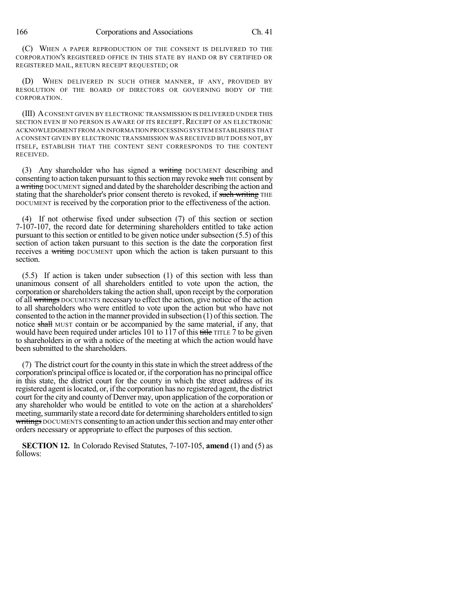(C) WHEN A PAPER REPRODUCTION OF THE CONSENT IS DELIVERED TO THE CORPORATION'S REGISTERED OFFICE IN THIS STATE BY HAND OR BY CERTIFIED OR REGISTERED MAIL, RETURN RECEIPT REQUESTED; OR

(D) WHEN DELIVERED IN SUCH OTHER MANNER, IF ANY, PROVIDED BY RESOLUTION OF THE BOARD OF DIRECTORS OR GOVERNING BODY OF THE CORPORATION.

(III) ACONSENT GIVEN BY ELECTRONIC TRANSMISSION IS DELIVERED UNDER THIS SECTION EVEN IF NO PERSON IS AWARE OF ITS RECEIPT. RECEIPT OF AN ELECTRONIC ACKNOWLEDGMENT FROM AN INFORMATION PROCESSING SYSTEM ESTABLISHES THAT A CONSENT GIVEN BY ELECTRONIC TRANSMISSION WAS RECEIVED BUT DOES NOT, BY ITSELF, ESTABLISH THAT THE CONTENT SENT CORRESPONDS TO THE CONTENT RECEIVED.

(3) Any shareholder who has signed a writing DOCUMENT describing and consenting to action taken pursuant to this section may revoke such THE consent by a writing DOCUMENT signed and dated by the shareholder describing the action and stating that the shareholder's prior consent thereto is revoked, if such writing THE DOCUMENT is received by the corporation prior to the effectiveness of the action.

(4) If not otherwise fixed under subsection (7) of this section or section 7-107-107, the record date for determining shareholders entitled to take action pursuant to this section or entitled to be given notice under subsection (5.5) of this section of action taken pursuant to this section is the date the corporation first receives a writing DOCUMENT upon which the action is taken pursuant to this section.

(5.5) If action is taken under subsection (1) of this section with less than unanimous consent of all shareholders entitled to vote upon the action, the corporation or shareholders taking the action shall, upon receipt by the corporation of all writings DOCUMENTS necessary to effect the action, give notice of the action to all shareholders who were entitled to vote upon the action but who have not consented to the action in the manner provided in subsection  $(1)$  of this section. The notice shall MUST contain or be accompanied by the same material, if any, that would have been required under articles 101 to 117 of this title TITLE 7 to be given to shareholders in or with a notice of the meeting at which the action would have been submitted to the shareholders.

(7) The district court for the county in thisstate in which the street address of the corporation's principal office islocated or, if the corporation has no principal office in this state, the district court for the county in which the street address of its registered agent islocated, or, if the corporation has no registered agent, the district court for the city and county of Denver may, upon application of the corporation or any shareholder who would be entitled to vote on the action at a shareholders' meeting, summarily state a record date for determining shareholders entitled to sign writings DOCUMENTS consenting to an action under this section and may enter other orders necessary or appropriate to effect the purposes of this section.

**SECTION 12.** In Colorado Revised Statutes, 7-107-105, **amend** (1) and (5) as follows: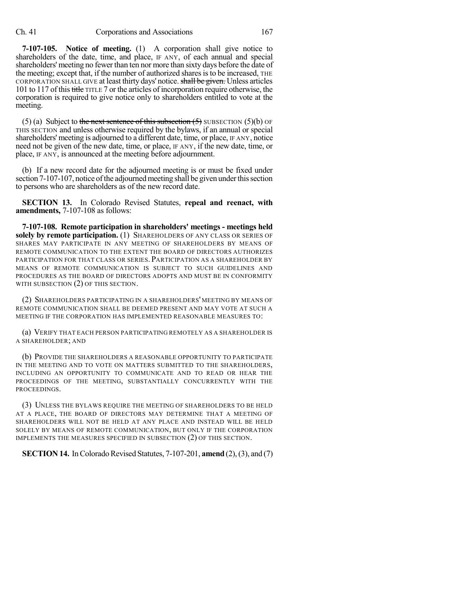**7-107-105. Notice of meeting.** (1) A corporation shall give notice to shareholders of the date, time, and place, IF ANY, of each annual and special shareholders' meeting no fewer than ten nor more than sixty days before the date of the meeting; except that, if the number of authorized sharesisto be increased, THE CORPORATION SHALL GIVE at least thirty days' notice. shall be given. Unless articles 101 to 117 of this title TITLE 7 or the articles of incorporation require otherwise, the corporation is required to give notice only to shareholders entitled to vote at the meeting.

(5) (a) Subject to the next sentence of this subsection  $(5)$  SUBSECTION  $(5)(b)$  OF THIS SECTION and unless otherwise required by the bylaws, if an annual or special shareholders' meeting is adjourned to a different date, time, or place, IF ANY, notice need not be given of the new date, time, or place, IF ANY, if the new date, time, or place, IF ANY, is announced at the meeting before adjournment.

(b) If a new record date for the adjourned meeting is or must be fixed under section 7-107-107, notice of the adjourned meeting shall be given under this section to persons who are shareholders as of the new record date.

**SECTION 13.** In Colorado Revised Statutes, **repeal and reenact, with amendments,** 7-107-108 as follows:

**7-107-108. Remote participation in shareholders' meetings - meetings held solely by remote participation.** (1) SHAREHOLDERS OF ANY CLASS OR SERIES OF SHARES MAY PARTICIPATE IN ANY MEETING OF SHAREHOLDERS BY MEANS OF REMOTE COMMUNICATION TO THE EXTENT THE BOARD OF DIRECTORS AUTHORIZES PARTICIPATION FOR THAT CLASS OR SERIES. PARTICIPATION AS A SHAREHOLDER BY MEANS OF REMOTE COMMUNICATION IS SUBJECT TO SUCH GUIDELINES AND PROCEDURES AS THE BOARD OF DIRECTORS ADOPTS AND MUST BE IN CONFORMITY WITH SUBSECTION (2) OF THIS SECTION.

(2) SHAREHOLDERS PARTICIPATING IN A SHAREHOLDERS' MEETING BY MEANS OF REMOTE COMMUNICATION SHALL BE DEEMED PRESENT AND MAY VOTE AT SUCH A MEETING IF THE CORPORATION HAS IMPLEMENTED REASONABLE MEASURES TO:

(a) VERIFY THAT EACH PERSON PARTICIPATING REMOTELY AS A SHAREHOLDER IS A SHAREHOLDER; AND

(b) PROVIDE THE SHAREHOLDERS A REASONABLE OPPORTUNITY TO PARTICIPATE IN THE MEETING AND TO VOTE ON MATTERS SUBMITTED TO THE SHAREHOLDERS, INCLUDING AN OPPORTUNITY TO COMMUNICATE AND TO READ OR HEAR THE PROCEEDINGS OF THE MEETING, SUBSTANTIALLY CONCURRENTLY WITH THE PROCEEDINGS.

(3) UNLESS THE BYLAWS REQUIRE THE MEETING OF SHAREHOLDERS TO BE HELD AT A PLACE, THE BOARD OF DIRECTORS MAY DETERMINE THAT A MEETING OF SHAREHOLDERS WILL NOT BE HELD AT ANY PLACE AND INSTEAD WILL BE HELD SOLELY BY MEANS OF REMOTE COMMUNICATION, BUT ONLY IF THE CORPORATION IMPLEMENTS THE MEASURES SPECIFIED IN SUBSECTION (2) OF THIS SECTION.

**SECTION 14.** In Colorado Revised Statutes, 7-107-201, **amend** (2), (3), and (7)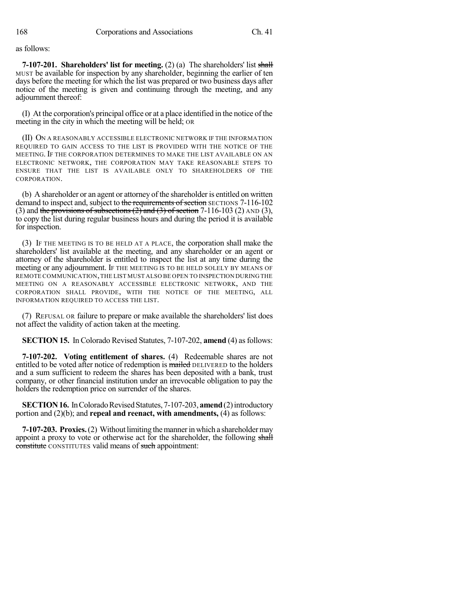as follows:

**7-107-201. Shareholders' list for meeting.** (2) (a) The shareholders' list shall MUST be available for inspection by any shareholder, beginning the earlier of ten days before the meeting for which the list was prepared or two business days after notice of the meeting is given and continuing through the meeting, and any adjournment thereof:

(I) At the corporation's principal office or at a place identified in the notice of the meeting in the city in which the meeting will be held; OR

(II) ON A REASONABLY ACCESSIBLE ELECTRONIC NETWORK IF THE INFORMATION REQUIRED TO GAIN ACCESS TO THE LIST IS PROVIDED WITH THE NOTICE OF THE MEETING. IF THE CORPORATION DETERMINES TO MAKE THE LIST AVAILABLE ON AN ELECTRONIC NETWORK, THE CORPORATION MAY TAKE REASONABLE STEPS TO ENSURE THAT THE LIST IS AVAILABLE ONLY TO SHAREHOLDERS OF THE CORPORATION.

(b) A shareholder or an agent or attorney of the shareholder is entitled on written demand to inspect and, subject to the requirements of section SECTIONS 7-116-102 (3) and the provisions of subsections  $(2)$  and  $(3)$  of section 7-116-103 (2) AND (3), to copy the list during regular business hours and during the period it is available for inspection.

(3) IF THE MEETING IS TO BE HELD AT A PLACE, the corporation shall make the shareholders' list available at the meeting, and any shareholder or an agent or attorney of the shareholder is entitled to inspect the list at any time during the meeting or any adjournment. IF THE MEETING IS TO BE HELD SOLELY BY MEANS OF REMOTE COMMUNICATION,THE LIST MUST ALSO BE OPEN TO INSPECTION DURING THE MEETING ON A REASONABLY ACCESSIBLE ELECTRONIC NETWORK, AND THE CORPORATION SHALL PROVIDE, WITH THE NOTICE OF THE MEETING, ALL INFORMATION REQUIRED TO ACCESS THE LIST.

(7) REFUSAL OR failure to prepare or make available the shareholders' list does not affect the validity of action taken at the meeting.

**SECTION 15.** In Colorado Revised Statutes, 7-107-202, **amend** (4) as follows:

**7-107-202. Voting entitlement of shares.** (4) Redeemable shares are not entitled to be voted after notice of redemption is mailed DELIVERED to the holders and a sum sufficient to redeem the shares has been deposited with a bank, trust company, or other financial institution under an irrevocable obligation to pay the holders the redemption price on surrender of the shares.

**SECTION 16.** In Colorado Revised Statutes, 7-107-203, **amend** (2) introductory portion and (2)(b); and **repeal and reenact, with amendments,** (4) as follows:

**7-107-203. Proxies.** (2) Without limiting the manner in which a shareholder may appoint a proxy to vote or otherwise act for the shareholder, the following shall constitute CONSTITUTES valid means of such appointment: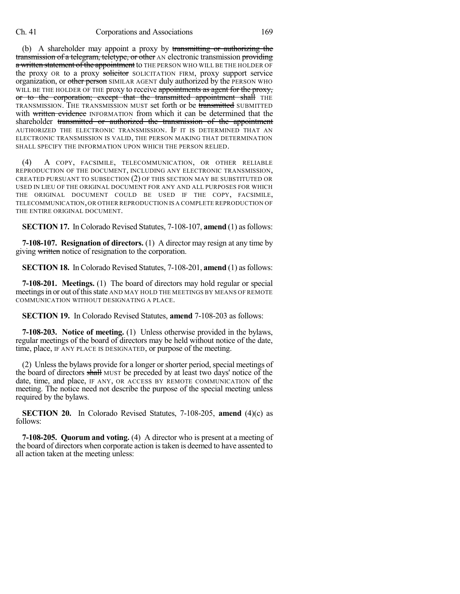(b) A shareholder may appoint a proxy by transmitting or authorizing the transmission of a telegram, teletype, or other AN electronic transmission providing a written statement of the appointment to THE PERSON WHO WILL BE THE HOLDER OF the proxy OR to a proxy solicitor SOLICITATION FIRM, proxy support service organization, or other person SIMILAR AGENT duly authorized by the PERSON WHO WILL BE THE HOLDER OF THE proxy to receive appointments as agent for the proxy, or to the corporation; except that the transmitted appointment shall THE TRANSMISSION. THE TRANSMISSION MUST set forth or be transmitted SUBMITTED with written evidence INFORMATION from which it can be determined that the shareholder transmitted or authorized the transmission of the appointment AUTHORIZED THE ELECTRONIC TRANSMISSION. IF IT IS DETERMINED THAT AN ELECTRONIC TRANSMISSION IS VALID, THE PERSON MAKING THAT DETERMINATION SHALL SPECIFY THE INFORMATION UPON WHICH THE PERSON RELIED.

(4) A COPY, FACSIMILE, TELECOMMUNICATION, OR OTHER RELIABLE REPRODUCTION OF THE DOCUMENT, INCLUDING ANY ELECTRONIC TRANSMISSION, CREATED PURSUANT TO SUBSECTION (2) OF THIS SECTION MAY BE SUBSTITUTED OR USED IN LIEU OF THE ORIGINAL DOCUMENT FOR ANY AND ALL PURPOSES FOR WHICH THE ORIGINAL DOCUMENT COULD BE USED IF THE COPY, FACSIMILE, TELECOMMUNICATION,OR OTHER REPRODUCTION IS A COMPLETE REPRODUCTION OF THE ENTIRE ORIGINAL DOCUMENT.

**SECTION 17.** In Colorado Revised Statutes, 7-108-107, **amend** (1) as follows:

**7-108-107. Resignation of directors.** (1) A director may resign at any time by giving written notice of resignation to the corporation.

**SECTION 18.** In Colorado Revised Statutes, 7-108-201, **amend** (1) asfollows:

**7-108-201. Meetings.** (1) The board of directors may hold regular or special meetings in or out of this state AND MAY HOLD THE MEETINGS BY MEANS OF REMOTE COMMUNICATION WITHOUT DESIGNATING A PLACE.

**SECTION 19.** In Colorado Revised Statutes, **amend** 7-108-203 as follows:

**7-108-203. Notice of meeting.** (1) Unless otherwise provided in the bylaws, regular meetings of the board of directors may be held without notice of the date, time, place, IF ANY PLACE IS DESIGNATED, or purpose of the meeting.

(2) Unless the bylaws provide for a longer or shorter period, special meetings of the board of directors shall MUST be preceded by at least two days' notice of the date, time, and place, IF ANY, OR ACCESS BY REMOTE COMMUNICATION of the meeting. The notice need not describe the purpose of the special meeting unless required by the bylaws.

**SECTION 20.** In Colorado Revised Statutes, 7-108-205, **amend** (4)(c) as follows:

**7-108-205. Quorum and voting.** (4) A director who is present at a meeting of the board of directors when corporate action istaken is deemed to have assented to all action taken at the meeting unless: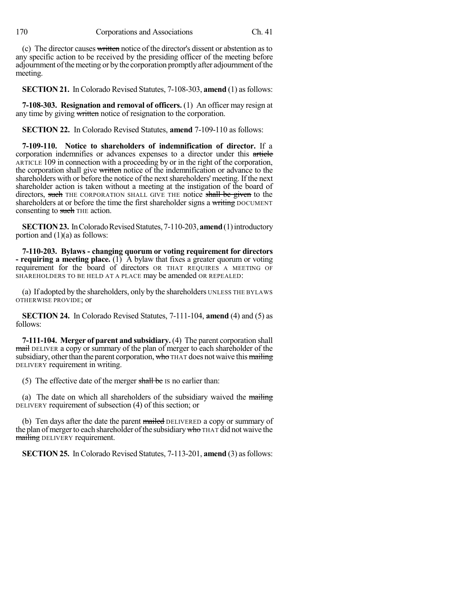(c) The director causes written notice of the director's dissent or abstention as to any specific action to be received by the presiding officer of the meeting before adjournment of the meeting or by the corporation promptly after adjournment of the meeting.

**SECTION 21.** In Colorado Revised Statutes, 7-108-303, **amend** (1) asfollows:

**7-108-303. Resignation and removal of officers.** (1) An officer may resign at any time by giving written notice of resignation to the corporation.

**SECTION 22.** In Colorado Revised Statutes, **amend** 7-109-110 as follows:

**7-109-110. Notice to shareholders of indemnification of director.** If a corporation indemnifies or advances expenses to a director under this article ARTICLE 109 in connection with a proceeding by or in the right of the corporation, the corporation shall give written notice of the indemnification or advance to the shareholders with or before the notice of the next shareholders' meeting. If the next shareholder action is taken without a meeting at the instigation of the board of directors, such THE CORPORATION SHALL GIVE THE notice shall be given to the shareholders at or before the time the first shareholder signs a writing DOCUMENT consenting to such THE action.

**SECTION 23.** In Colorado Revised Statutes, 7-110-203, amend (1) introductory portion and  $(1)(a)$  as follows:

**7-110-203. Bylaws - changing quorum or voting requirement for directors - requiring a meeting place.** (1) A bylaw that fixes a greater quorum or voting requirement for the board of directors OR THAT REQUIRES A MEETING OF SHAREHOLDERS TO BE HELD AT A PLACE may be amended OR REPEALED:

(a) If adopted by the shareholders, only by the shareholders UNLESS THE BYLAWS OTHERWISE PROVIDE; or

**SECTION 24.** In Colorado Revised Statutes, 7-111-104, **amend** (4) and (5) as follows:

**7-111-104. Merger of parent and subsidiary.** (4) The parent corporation shall mail DELIVER a copy or summary of the plan of merger to each shareholder of the subsidiary, other than the parent corporation, who THAT does not waive this mailing DELIVERY requirement in writing.

(5) The effective date of the merger shall be IS no earlier than:

(a) The date on which all shareholders of the subsidiary waived the  $\frac{1}{\text{main-g}}$ DELIVERY requirement of subsection (4) of this section; or

(b) Ten days after the date the parent mailed DELIVERED a copy or summary of the plan of merger to each shareholder of the subsidiary who THAT did not waive the mailing DELIVERY requirement.

**SECTION 25.** In Colorado Revised Statutes, 7-113-201, **amend** (3) as follows: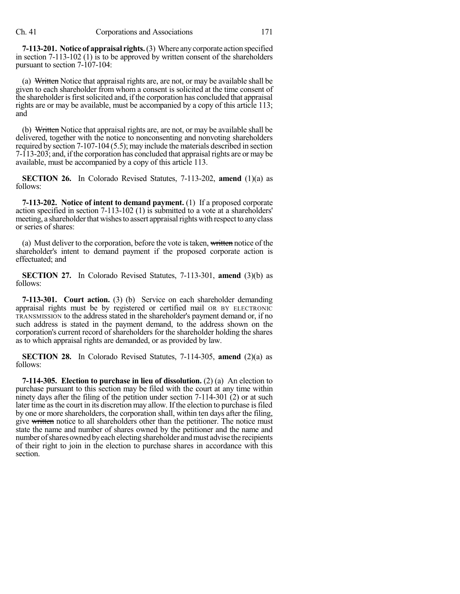**7-113-201. Notice of appraisal rights.**(3) Where anycorporate action specified in section 7-113-102 (1) is to be approved by written consent of the shareholders pursuant to section 7-107-104:

(a) Written Notice that appraisal rights are, are not, or may be available shall be given to each shareholder from whom a consent is solicited at the time consent of the shareholder is first solicited and, if the corporation has concluded that appraisal rights are or may be available, must be accompanied by a copy of this article 113; and

(b) Written Notice that appraisal rights are, are not, or may be available shall be delivered, together with the notice to nonconsenting and nonvoting shareholders required by section 7-107-104 (5.5); may include the materials described in section 7-113-203; and, if the corporation has concluded that appraisal rights are or may be available, must be accompanied by a copy of this article 113.

**SECTION 26.** In Colorado Revised Statutes, 7-113-202, **amend** (1)(a) as follows:

**7-113-202. Notice of intent to demand payment.** (1) If a proposed corporate action specified in section 7-113-102 (1) is submitted to a vote at a shareholders' meeting, a shareholder that wishes to assert appraisal rights with respect to any class or series of shares:

(a) Must deliver to the corporation, before the vote is taken, written notice of the shareholder's intent to demand payment if the proposed corporate action is effectuated; and

**SECTION 27.** In Colorado Revised Statutes, 7-113-301, **amend** (3)(b) as follows:

**7-113-301. Court action.** (3) (b) Service on each shareholder demanding appraisal rights must be by registered or certified mail OR BY ELECTRONIC TRANSMISSION to the address stated in the shareholder's payment demand or, if no such address is stated in the payment demand, to the address shown on the corporation's current record of shareholders for the shareholder holding the shares as to which appraisal rights are demanded, or as provided by law.

**SECTION 28.** In Colorado Revised Statutes, 7-114-305, **amend** (2)(a) as follows:

**7-114-305. Election to purchase in lieu of dissolution.** (2) (a) An election to purchase pursuant to this section may be filed with the court at any time within ninety days after the filing of the petition under section 7-114-301 (2) or at such later time asthe court in its discretion may allow. If the election to purchase isfiled by one or more shareholders, the corporation shall, within ten days after the filing, give written notice to all shareholders other than the petitioner. The notice must state the name and number of shares owned by the petitioner and the name and number of shares owned by each electing shareholder and must advise the recipients of their right to join in the election to purchase shares in accordance with this section.